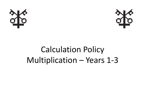



## Calculation Policy Multiplication – Years 1-3